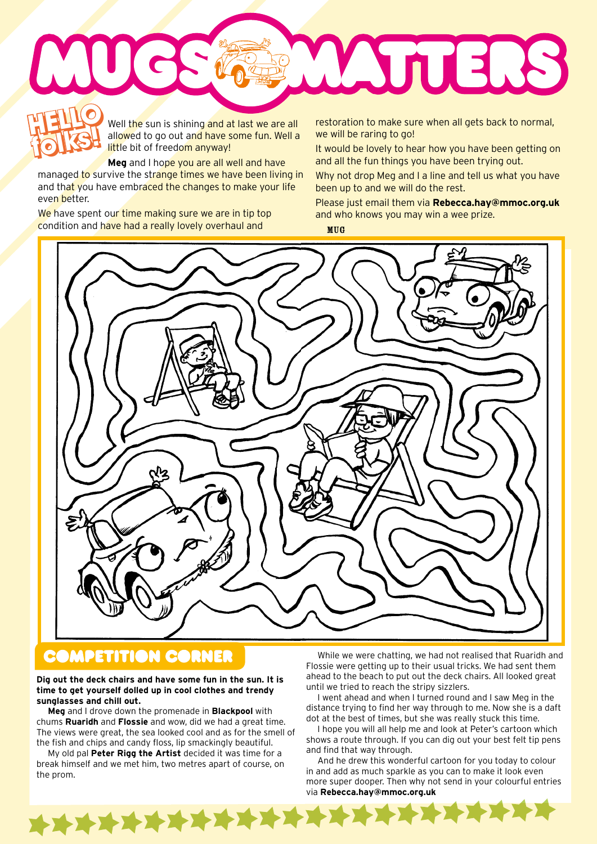

Well the sun is shining and at last we are all allowed to go out and have some fun. Well a little bit of freedom anyway! **folks! folks in the surms shining and at last we are all association to make sure when all gets back to normal,<br>It would be raring to go!<br>It would be lovely to hear how you have been getting on** 

**Meg** and I hope you are all well and have managed to survive the strange times we have been living in and that you have embraced the changes to make your life even better.

We have spent our time making sure we are in tip top condition and have had a really lovely overhaul and

we will be raring to go!

and all the fun things you have been trying out.

Why not drop Meg and I a line and tell us what you have been up to and we will do the rest.

Please just email them via **Rebecca.hay@mmoc.org.uk** and who knows you may win a wee prize.

MUG



## **COMPETITION CORNER**

## **Dig out the deck chairs and have some fun in the sun. It is time to get yourself dolled up in cool clothes and trendy sunglasses and chill out.**

**Meg** and I drove down the promenade in **Blackpool** with chums **Ruaridh** and **Flossie** and wow, did we had a great time. The views were great, the sea looked cool and as for the smell of the fish and chips and candy floss, lip smackingly beautiful.

My old pal **Peter Rigg the Artist** decided it was time for a break himself and we met him, two metres apart of course, on the prom.

\*\*\*\*\*\*\*\*\*\*\*\*\*\*\*\*\*

While we were chatting, we had not realised that Ruaridh and Flossie were getting up to their usual tricks. We had sent them ahead to the beach to put out the deck chairs. All looked great until we tried to reach the stripy sizzlers.

I went ahead and when I turned round and I saw Meg in the distance trying to find her way through to me. Now she is a daft dot at the best of times, but she was really stuck this time.

I hope you will all help me and look at Peter's cartoon which shows a route through. If you can dig out your best felt tip pens and find that way through.

And he drew this wonderful cartoon for you today to colour in and add as much sparkle as you can to make it look even more super dooper. Then why not send in your colourful entries via **Rebecca.hay@mmoc.org.uk**